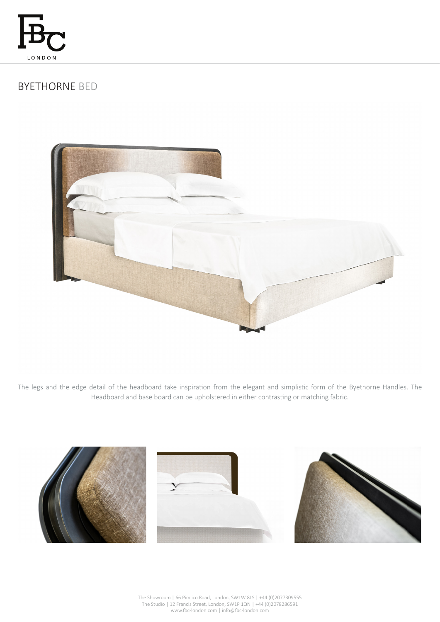

# BYETHORNE BED



The legs and the edge detail of the headboard take inspiration from the elegant and simplistic form of the Byethorne Handles. The Headboard and base board can be upholstered in either contrasting or matching fabric.